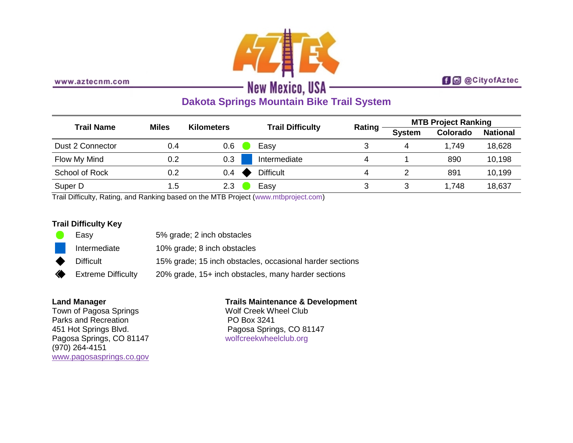

www.aztecnm.com

## **f d** @ City of Aztec

# **Dakota Springs Mountain Bike Trail System**

| <b>Trail Name</b> | <b>Miles</b> | <b>Kilometers</b> | <b>Trail Difficulty</b> | <b>Rating</b> | <b>MTB Project Ranking</b> |          |                 |
|-------------------|--------------|-------------------|-------------------------|---------------|----------------------------|----------|-----------------|
|                   |              |                   |                         |               | <b>System</b>              | Colorado | <b>National</b> |
| Dust 2 Connector  | 0.4          | 0.6               | Easy                    | 3             | 4                          | 1,749    | 18,628          |
| Flow My Mind      | 0.2          | 0.3               | Intermediate            | 4             |                            | 890      | 10,198          |
| School of Rock    | 0.2          | 0.4               | <b>Difficult</b>        | 4             |                            | 891      | 10,199          |
| Super D           | 1.5          | 2.3               | Easy                    |               | 3                          | 1,748    | 18,637          |

Trail Difficulty, Rating, and Ranking based on the MTB Project [\(www.mtbproject.com\)](http://www.mtbproject.com/)

#### **Trail Difficulty Key**

|           | Easy                      | 5% grade; 2 inch obstacles                               |
|-----------|---------------------------|----------------------------------------------------------|
|           | Intermediate              | 10% grade; 8 inch obstacles                              |
| $\bullet$ | <b>Difficult</b>          | 15% grade; 15 inch obstacles, occasional harder sections |
| ◈         | <b>Extreme Difficulty</b> | 20% grade, 15+ inch obstacles, many harder sections      |

#### **Land Manager**

Town of Pagosa Springs Parks and Recreation 451 Hot Springs Blvd. Pagosa Springs, CO 81147 (970) 264-4151 [www.pagosasprings.co.gov](http://www.pagosasprings.co.gov/)

### **Trails Maintenance & Development**

Wolf Creek Wheel Club PO Box 3241 Pagosa Springs, CO 81147 [wolfcreekwheelclub.org](http://wolfcreekwheelclub.org/)